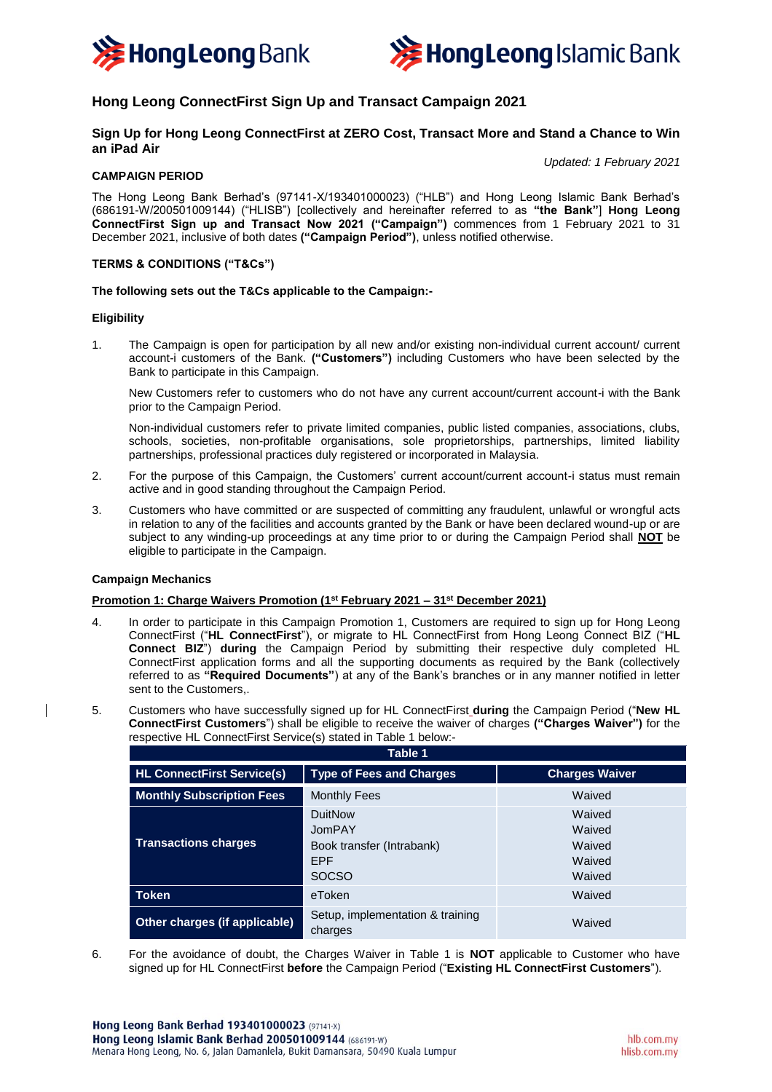



# **Hong Leong ConnectFirst Sign Up and Transact Campaign 2021**

## **Sign Up for Hong Leong ConnectFirst at ZERO Cost, Transact More and Stand a Chance to Win an iPad Air**

# **CAMPAIGN PERIOD**

*Updated: 1 February 2021*

The Hong Leong Bank Berhad's (97141-X/193401000023) ("HLB") and Hong Leong Islamic Bank Berhad's (686191-W/200501009144) ("HLISB") [collectively and hereinafter referred to as **"the Bank"**] **Hong Leong ConnectFirst Sign up and Transact Now 2021 ("Campaign")** commences from 1 February 2021 to 31 December 2021, inclusive of both dates **("Campaign Period")**, unless notified otherwise.

## **TERMS & CONDITIONS ("T&Cs")**

#### **The following sets out the T&Cs applicable to the Campaign:-**

#### **Eligibility**

1. The Campaign is open for participation by all new and/or existing non-individual current account/ current account-i customers of the Bank. **("Customers")** including Customers who have been selected by the Bank to participate in this Campaign.

New Customers refer to customers who do not have any current account/current account-i with the Bank prior to the Campaign Period.

Non-individual customers refer to private limited companies, public listed companies, associations, clubs, schools, societies, non-profitable organisations, sole proprietorships, partnerships, limited liability partnerships, professional practices duly registered or incorporated in Malaysia.

- 2. For the purpose of this Campaign, the Customers' current account/current account-i status must remain active and in good standing throughout the Campaign Period.
- 3. Customers who have committed or are suspected of committing any fraudulent, unlawful or wrongful acts in relation to any of the facilities and accounts granted by the Bank or have been declared wound-up or are subject to any winding-up proceedings at any time prior to or during the Campaign Period shall **NOT** be eligible to participate in the Campaign.

#### **Campaign Mechanics**

#### **Promotion 1: Charge Waivers Promotion (1st February 2021 – 31st December 2021)**

- 4. In order to participate in this Campaign Promotion 1, Customers are required to sign up for Hong Leong ConnectFirst ("**HL ConnectFirst**"), or migrate to HL ConnectFirst from Hong Leong Connect BIZ ("**HL Connect BIZ**") **during** the Campaign Period by submitting their respective duly completed HL ConnectFirst application forms and all the supporting documents as required by the Bank (collectively referred to as **"Required Documents"**) at any of the Bank's branches or in any manner notified in letter sent to the Customers,.
- 5. Customers who have successfully signed up for HL ConnectFirst **during** the Campaign Period ("**New HL ConnectFirst Customers**") shall be eligible to receive the waiver of charges **("Charges Waiver")** for the respective HL ConnectFirst Service(s) stated in Table 1 below:-

| Table 1                           |                                                                                     |                                                |  |
|-----------------------------------|-------------------------------------------------------------------------------------|------------------------------------------------|--|
| <b>HL ConnectFirst Service(s)</b> | <b>Type of Fees and Charges</b>                                                     | <b>Charges Waiver</b>                          |  |
| <b>Monthly Subscription Fees</b>  | <b>Monthly Fees</b>                                                                 | Waived                                         |  |
| <b>Transactions charges</b>       | <b>DuitNow</b><br>JomPAY<br>Book transfer (Intrabank)<br><b>EPF</b><br><b>SOCSO</b> | Waived<br>Waived<br>Waived<br>Waived<br>Waived |  |
| <b>Token</b>                      | eToken                                                                              | Waived                                         |  |
| Other charges (if applicable)     | Setup, implementation & training<br>charges                                         | Waived                                         |  |

6. For the avoidance of doubt, the Charges Waiver in Table 1 is **NOT** applicable to Customer who have signed up for HL ConnectFirst **before** the Campaign Period ("**Existing HL ConnectFirst Customers**").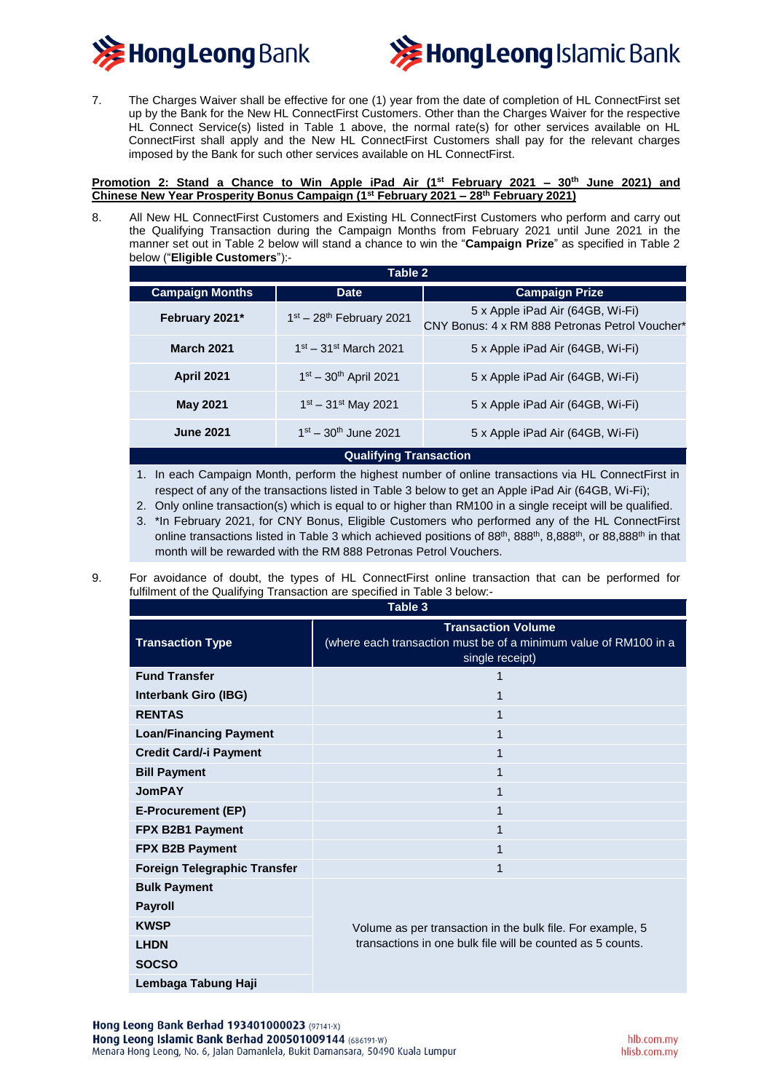



7. The Charges Waiver shall be effective for one (1) year from the date of completion of HL ConnectFirst set up by the Bank for the New HL ConnectFirst Customers. Other than the Charges Waiver for the respective HL Connect Service(s) listed in Table 1 above, the normal rate(s) for other services available on HL ConnectFirst shall apply and the New HL ConnectFirst Customers shall pay for the relevant charges imposed by the Bank for such other services available on HL ConnectFirst.

**Promotion 2: Stand a Chance to Win Apple iPad Air (1st February 2021 – 30th June 2021) and Chinese New Year Prosperity Bonus Campaign (1st February 2021 – 28th February 2021)**

8. All New HL ConnectFirst Customers and Existing HL ConnectFirst Customers who perform and carry out the Qualifying Transaction during the Campaign Months from February 2021 until June 2021 in the manner set out in Table 2 below will stand a chance to win the "**Campaign Prize**" as specified in Table 2 below ("**Eligible Customers**"):-

| Table 2                       |                             |                                                                                    |  |
|-------------------------------|-----------------------------|------------------------------------------------------------------------------------|--|
| <b>Campaign Months</b>        | <b>Date</b>                 | <b>Campaign Prize</b>                                                              |  |
| February 2021*                | $1st - 28th$ February 2021  | 5 x Apple iPad Air (64GB, Wi-Fi)<br>CNY Bonus: 4 x RM 888 Petronas Petrol Voucher* |  |
| <b>March 2021</b>             | $1st - 31st March 2021$     | 5 x Apple iPad Air (64GB, Wi-Fi)                                                   |  |
| <b>April 2021</b>             | $1st - 30th$ April 2021     | 5 x Apple iPad Air (64GB, Wi-Fi)                                                   |  |
| <b>May 2021</b>               | $1^{st} - 31^{st}$ May 2021 | 5 x Apple iPad Air (64GB, Wi-Fi)                                                   |  |
| <b>June 2021</b>              | $1st - 30th$ June 2021      | 5 x Apple iPad Air (64GB, Wi-Fi)                                                   |  |
| <b>Qualifying Transaction</b> |                             |                                                                                    |  |

1. In each Campaign Month, perform the highest number of online transactions via HL ConnectFirst in respect of any of the transactions listed in Table 3 below to get an Apple iPad Air (64GB, Wi-Fi);

- 2. Only online transaction(s) which is equal to or higher than RM100 in a single receipt will be qualified.
- 3. \*In February 2021, for CNY Bonus, Eligible Customers who performed any of the HL ConnectFirst online transactions listed in Table 3 which achieved positions of 88<sup>th</sup>, 888<sup>th</sup>, 8,888<sup>th</sup>, or 88,888<sup>th</sup> in that month will be rewarded with the RM 888 Petronas Petrol Vouchers.
- 9. For avoidance of doubt, the types of HL ConnectFirst online transaction that can be performed for fulfilment of the Qualifying Transaction are specified in Table 3 below:-

| Table 3                             |                                                                                                                          |  |
|-------------------------------------|--------------------------------------------------------------------------------------------------------------------------|--|
| <b>Transaction Type</b>             | <b>Transaction Volume</b><br>(where each transaction must be of a minimum value of RM100 in a<br>single receipt)         |  |
| <b>Fund Transfer</b>                | 1                                                                                                                        |  |
| <b>Interbank Giro (IBG)</b>         | 1                                                                                                                        |  |
| <b>RENTAS</b>                       | 1                                                                                                                        |  |
| <b>Loan/Financing Payment</b>       | 1                                                                                                                        |  |
| <b>Credit Card/-i Payment</b>       | 1                                                                                                                        |  |
| <b>Bill Payment</b>                 | 1                                                                                                                        |  |
| <b>JomPAY</b>                       | 1                                                                                                                        |  |
| <b>E-Procurement (EP)</b>           | 1                                                                                                                        |  |
| FPX B2B1 Payment                    | 1                                                                                                                        |  |
| FPX B2B Payment                     | 1                                                                                                                        |  |
| <b>Foreign Telegraphic Transfer</b> | 1                                                                                                                        |  |
| <b>Bulk Payment</b>                 | Volume as per transaction in the bulk file. For example, 5<br>transactions in one bulk file will be counted as 5 counts. |  |
| <b>Payroll</b>                      |                                                                                                                          |  |
| <b>KWSP</b>                         |                                                                                                                          |  |
| <b>LHDN</b>                         |                                                                                                                          |  |
| <b>SOCSO</b>                        |                                                                                                                          |  |
| Lembaga Tabung Haji                 |                                                                                                                          |  |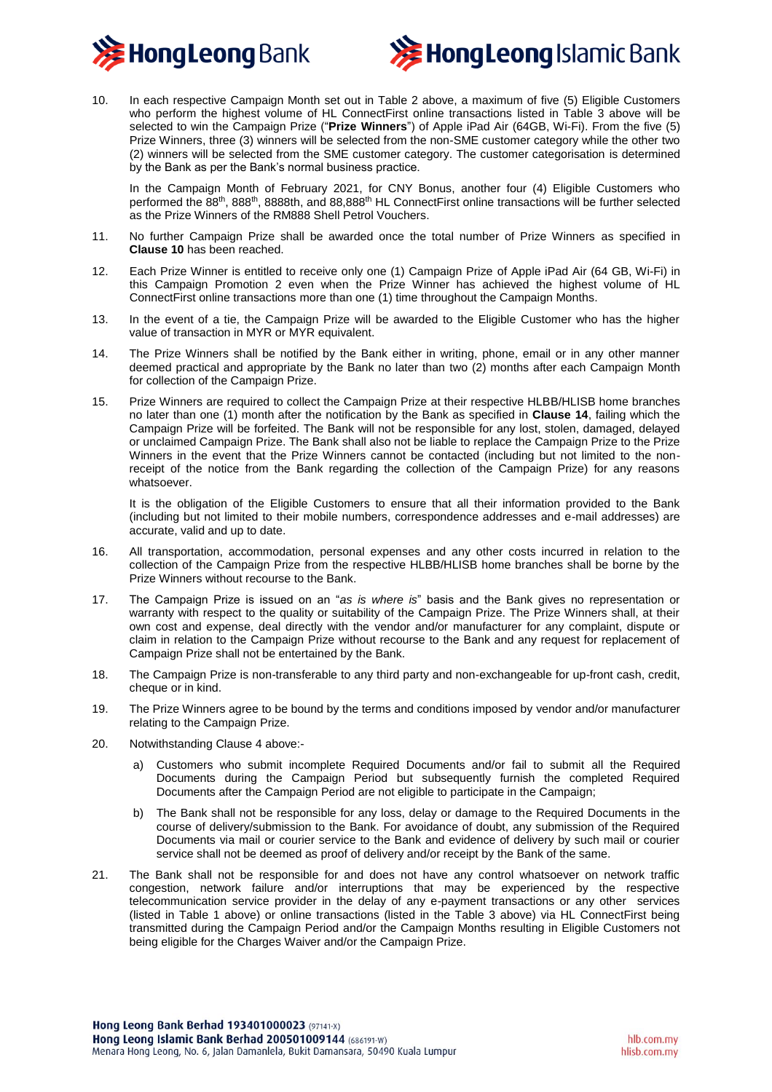



10. In each respective Campaign Month set out in Table 2 above, a maximum of five (5) Eligible Customers who perform the highest volume of HL ConnectFirst online transactions listed in Table 3 above will be selected to win the Campaign Prize ("**Prize Winners**") of Apple iPad Air (64GB, Wi-Fi). From the five (5) Prize Winners, three (3) winners will be selected from the non-SME customer category while the other two (2) winners will be selected from the SME customer category. The customer categorisation is determined by the Bank as per the Bank's normal business practice.

In the Campaign Month of February 2021, for CNY Bonus, another four (4) Eligible Customers who performed the 88th, 888th, 8888th, and 88,888th HL ConnectFirst online transactions will be further selected as the Prize Winners of the RM888 Shell Petrol Vouchers.

- 11. No further Campaign Prize shall be awarded once the total number of Prize Winners as specified in **Clause 10** has been reached.
- 12. Each Prize Winner is entitled to receive only one (1) Campaign Prize of Apple iPad Air (64 GB, Wi-Fi) in this Campaign Promotion 2 even when the Prize Winner has achieved the highest volume of HL ConnectFirst online transactions more than one (1) time throughout the Campaign Months.
- 13. In the event of a tie, the Campaign Prize will be awarded to the Eligible Customer who has the higher value of transaction in MYR or MYR equivalent.
- 14. The Prize Winners shall be notified by the Bank either in writing, phone, email or in any other manner deemed practical and appropriate by the Bank no later than two (2) months after each Campaign Month for collection of the Campaign Prize.
- 15. Prize Winners are required to collect the Campaign Prize at their respective HLBB/HLISB home branches no later than one (1) month after the notification by the Bank as specified in **Clause 14**, failing which the Campaign Prize will be forfeited. The Bank will not be responsible for any lost, stolen, damaged, delayed or unclaimed Campaign Prize. The Bank shall also not be liable to replace the Campaign Prize to the Prize Winners in the event that the Prize Winners cannot be contacted (including but not limited to the nonreceipt of the notice from the Bank regarding the collection of the Campaign Prize) for any reasons whatsoever.

It is the obligation of the Eligible Customers to ensure that all their information provided to the Bank (including but not limited to their mobile numbers, correspondence addresses and e-mail addresses) are accurate, valid and up to date.

- 16. All transportation, accommodation, personal expenses and any other costs incurred in relation to the collection of the Campaign Prize from the respective HLBB/HLISB home branches shall be borne by the Prize Winners without recourse to the Bank.
- 17. The Campaign Prize is issued on an "*as is where is*" basis and the Bank gives no representation or warranty with respect to the quality or suitability of the Campaign Prize. The Prize Winners shall, at their own cost and expense, deal directly with the vendor and/or manufacturer for any complaint, dispute or claim in relation to the Campaign Prize without recourse to the Bank and any request for replacement of Campaign Prize shall not be entertained by the Bank.
- 18. The Campaign Prize is non-transferable to any third party and non-exchangeable for up-front cash, credit, cheque or in kind.
- 19. The Prize Winners agree to be bound by the terms and conditions imposed by vendor and/or manufacturer relating to the Campaign Prize.
- 20. Notwithstanding Clause 4 above:
	- a) Customers who submit incomplete Required Documents and/or fail to submit all the Required Documents during the Campaign Period but subsequently furnish the completed Required Documents after the Campaign Period are not eligible to participate in the Campaign;
	- b) The Bank shall not be responsible for any loss, delay or damage to the Required Documents in the course of delivery/submission to the Bank. For avoidance of doubt, any submission of the Required Documents via mail or courier service to the Bank and evidence of delivery by such mail or courier service shall not be deemed as proof of delivery and/or receipt by the Bank of the same.
- 21. The Bank shall not be responsible for and does not have any control whatsoever on network traffic congestion, network failure and/or interruptions that may be experienced by the respective telecommunication service provider in the delay of any e-payment transactions or any other services (listed in Table 1 above) or online transactions (listed in the Table 3 above) via HL ConnectFirst being transmitted during the Campaign Period and/or the Campaign Months resulting in Eligible Customers not being eligible for the Charges Waiver and/or the Campaign Prize.